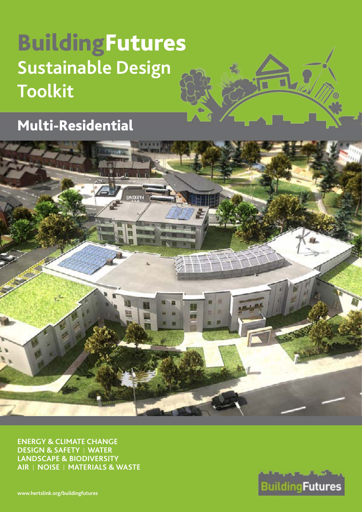# BuildingFutures **Sustainable Design Toolkit**

Multi-Residential



**ENERGY & CLIMATE CHANGE DESIGN & SAFETY** I **WATER LANDSCAPE & BIODIVERSITY AIR** I **NOISE** I **MATERIALS & WASTE**

**BuildingFutures** 

**[www.hertslink.org/buildingfutures](http://www.hertslink.org/buildingfutures)**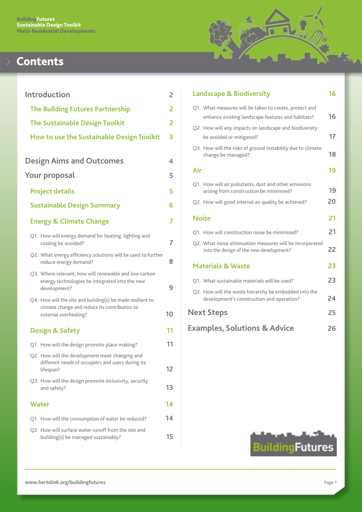

# **Contents**

| <b>Introduction</b> |  |                                                                                                                                      |    |
|---------------------|--|--------------------------------------------------------------------------------------------------------------------------------------|----|
|                     |  | <b>The Building Futures Partnership</b>                                                                                              | 2  |
|                     |  | <b>The Sustainable Design Toolkit</b>                                                                                                | 2  |
|                     |  | <b>How to use the Sustainable Design Toolkit</b>                                                                                     | 3  |
|                     |  |                                                                                                                                      |    |
|                     |  | <b>Design Aims and Outcomes</b>                                                                                                      | 4  |
|                     |  | Your proposal                                                                                                                        | 5  |
|                     |  | <b>Project details</b>                                                                                                               | 5  |
|                     |  | <b>Sustainable Design Summary</b>                                                                                                    | 6  |
|                     |  | <b>Energy &amp; Climate Change</b>                                                                                                   | 7  |
|                     |  | Q1. How will energy demand for heating, lighting and<br>cooling be avoided?                                                          | 7  |
|                     |  | Q2. What energy efficiency solutions will be used to further<br>reduce energy demand?                                                | 8  |
|                     |  | Q3. Where relevant, how will renewable and low carbon<br>energy technologies be integrated into the new<br>development?              | 9  |
|                     |  | Q4. How will the site and building(s) be made resilient to<br>climate change and reduce its contribution to<br>external overheating? | 10 |
|                     |  | <b>Design &amp; Safety</b>                                                                                                           | 11 |
|                     |  | Q1. How will the design promote place making?                                                                                        | 11 |
|                     |  | Q2. How will the development meet changing and<br>different needs of occupiers and users during its<br>lifespan?                     | 12 |
|                     |  | Q3. How will the design promote inclusivity, security<br>and safety?                                                                 | 13 |
|                     |  | Water                                                                                                                                | 14 |
|                     |  | Q1. How will the consumption of water be reduced?                                                                                    | 14 |
|                     |  | Q2. How will surface water runoff from the site and<br>building(s) be managed sustainably?                                           | 15 |
|                     |  |                                                                                                                                      |    |

|     | <b>Landscape &amp; Biodiversity</b>                                                                         | 16 |
|-----|-------------------------------------------------------------------------------------------------------------|----|
|     | Q1. What measures will be taken to create, protect and<br>enhance existing landscape features and habitats? | 16 |
|     | Q2. How will any impacts on landscape and biodiversity<br>be avoided or mitigated?                          | 17 |
|     | Q3. How will the risks of ground instability due to climate<br>change be managed?                           | 18 |
| Air |                                                                                                             | 19 |
|     | Q1. How will air pollutants, dust and other emissions<br>arising from construction be minimised?            | 19 |
|     | Q2. How will good internal air quality be achieved?                                                         | 20 |
|     |                                                                                                             |    |
|     | Noise                                                                                                       | 21 |
|     | Q1. How will construction noise be minimised?                                                               | 21 |
|     | Q2. What noise attenuation measures will be incorporated<br>into the design of the new development?         | 22 |
|     | <b>Materials &amp; Waste</b>                                                                                | 23 |
|     | Q1. What sustainable materials will be used?                                                                | 23 |
|     | Q2. How will the waste hierarchy be embedded into the<br>development's construction and operation?          | 24 |
|     | <b>Next Steps</b>                                                                                           | 25 |

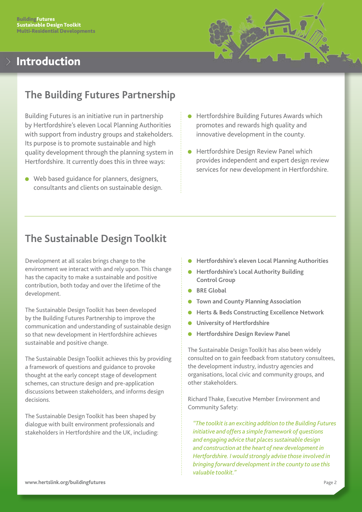

# <span id="page-2-0"></span>Introduction

# **The Building Futures Partnership**

Building Futures is an initiative run in partnership by Hertfordshire's eleven Local Planning Authorities with support from industry groups and stakeholders. Its purpose is to promote sustainable and high quality development through the planning system in Hertfordshire. It currently does this in three ways:

- $\bullet$  Web based guidance for planners, designers, consultants and clients on sustainable design.
- Hertfordshire Building Futures Awards which promotes and rewards high quality and innovative development in the county.
- Hertfordshire Design Review Panel which provides independent and expert design review services for new development in Hertfordshire.

# **The Sustainable Design Toolkit**

Development at all scales brings change to the environment we interact with and rely upon. This change has the capacity to make a sustainable and positive contribution, both today and over the lifetime of the development.

The Sustainable Design Toolkit has been developed by the Building Futures Partnership to improve the communication and understanding of sustainable design so that new development in Hertfordshire achieves sustainable and positive change.

The Sustainable Design Toolkit achieves this by providing a framework of questions and guidance to provoke thought at the early concept stage of development schemes, can structure design and pre-application discussions between stakeholders, and informs design decisions.

The Sustainable Design Toolkit has been shaped by dialogue with built environment professionals and stakeholders in Hertfordshire and the UK, including:

- **Hertfordshire's eleven Local Planning Authorities**
- **Hertfordshire's Local Authority Building Control Group**
- **BRE Global**
- **Town and County Planning Association**
- **Herts & Beds Constructing Excellence Network**
- **University of Hertfordshire**
- **Hertfordshire Design Review Panel**

The Sustainable Design Toolkit has also been widely consulted on to gain feedback from statutory consultees, the development industry, industry agencies and organisations, local civic and community groups, and other stakeholders.

Richard Thake, Executive Member Environment and Community Safety:

*"The toolkit is an exciting addition to the Building Futures initiative and offers a simple framework of questions and engaging advice that places sustainable design and construction at the heart of new development in Hertfordshire. I would strongly advise those involved in bringing forward development in the county to use this valuable toolkit."*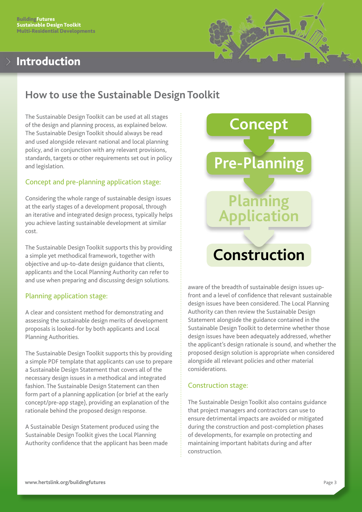# <span id="page-3-0"></span>Introduction



# **How to use the Sustainable Design Toolkit**

The Sustainable Design Toolkit can be used at all stages of the design and planning process, as explained below. The Sustainable Design Toolkit should always be read and used alongside relevant national and local planning policy, and in conjunction with any relevant provisions, standards, targets or other requirements set out in policy and legislation.

## Concept and pre-planning application stage:

Considering the whole range of sustainable design issues at the early stages of a development proposal, through an iterative and integrated design process, typically helps you achieve lasting sustainable development at similar cost.

The Sustainable Design Toolkit supports this by providing a simple yet methodical framework, together with objective and up-to-date design guidance that clients, applicants and the Local Planning Authority can refer to and use when preparing and discussing design solutions.

## Planning application stage:

A clear and consistent method for demonstrating and assessing the sustainable design merits of development proposals is looked-for by both applicants and Local Planning Authorities.

The Sustainable Design Toolkit supports this by providing a simple PDF template that applicants can use to prepare a Sustainable Design Statement that covers all of the necessary design issues in a methodical and integrated fashion. The Sustainable Design Statement can then form part of a planning application (or brief at the early concept/pre-app stage), providing an explanation of the rationale behind the proposed design response.

A Sustainable Design Statement produced using the Sustainable Design Toolkit gives the Local Planning Authority confidence that the applicant has been made



aware of the breadth of sustainable design issues upfront and a level of confidence that relevant sustainable design issues have been considered. The Local Planning Authority can then review the Sustainable Design Statement alongside the guidance contained in the Sustainable Design Toolkit to determine whether those design issues have been adequately addressed, whether the applicant's design rationale is sound, and whether the proposed design solution is appropriate when considered alongside all relevant policies and other material considerations.

## Construction stage:

The Sustainable Design Toolkit also contains guidance that project managers and contractors can use to ensure detrimental impacts are avoided or mitigated during the construction and post-completion phases of developments, for example on protecting and maintaining important habitats during and after construction.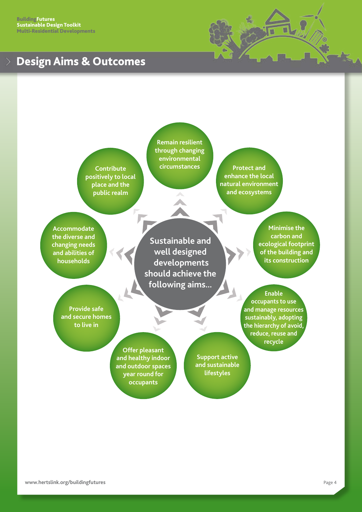# <span id="page-4-0"></span>Design Aims & Outcomes



**Contribute positively to local place and the public realm**

**Remain resilient through changing environmental circumstances Protect and** 

**enhance the local natural environment and ecosystems**

**Accommodate the diverse and changing needs and abilities of households**

**Sustainable and well designed developments should achieve the following aims...**

**Minimise the carbon and ecological footprint of the building and its construction**

**Provide safe and secure homes to live in**

> **Offer pleasant and healthy indoor and outdoor spaces year round for occupants**

**Support active and sustainable lifestyles**

**Enable occupants to use and manage resources sustainably, adopting the hierarchy of avoid, reduce, reuse and** 

**recycle**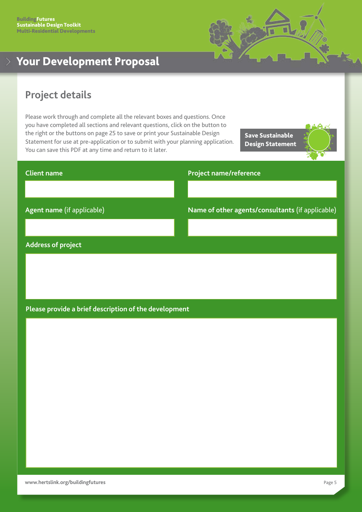

# <span id="page-5-0"></span>Your Development Proposal

# **Project details**

Please work through and complete all the relevant boxes and questions. Once you have completed all sections and relevant questions, click on the button to the right or the buttons on page 25 to save or print your Sustainable Design Statement for use at pre-application or to submit with your planning application. You can save this PDF at any time and return to it later.

Save Sustainable Design Statement



# **Client name Agent name** (if applicable) **Project name/reference Name of other agents/consultants** (if applicable)

### **Address of project**

## **Please provide a brief description of the development**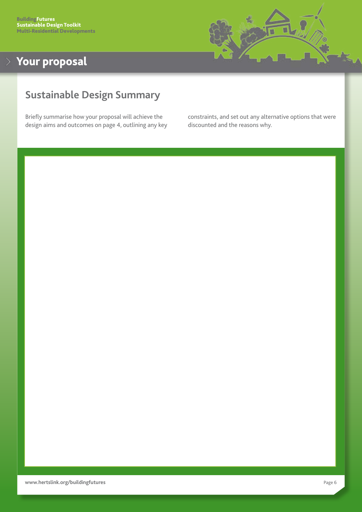

# <span id="page-6-0"></span>**Sustainable Design Summary**

Briefly summarise how your proposal will achieve the design aims and outcomes on page 4, outlining any key constraints, and set out any alternative options that were discounted and the reasons why.

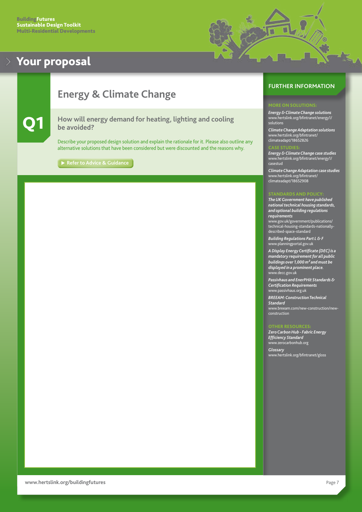

# <span id="page-7-0"></span>**Energy & Climate Change**

### Q1 **How will energy demand for heating, lighting and cooling be avoided?**

Describe your proposed design solution and explain the rationale for it. Please also outline any alternative solutions that have been considered but were discounted and the reasons why.

**[Refer to Advice & Guidance](#page-26-0)** 

## **FURTHER INFORMATION**

### MORE ON SOLUTIONS:

*Energy & Climate Change solutions* [www.hertslink.org/bfintranet/energy1/](http://www.hertslink.org/bfintranet/energy1/solutions) solutions

*Climate Change Adaptation solutions* [www.hertslink.org/bfintranet/](http://www.hertslink.org/bfintranet/climateadapt/18652826) [climateadapt](http://www.hertslink.org/bfintranet/climateadapt/18652826)/18652826

### CASE STUDIES:

*Energy & Climate Change case studies* [www.hertslink.org/bfintranet/energy1/](http://www.hertslink.org/bfintranet/energy1/casestud) [casestud](http://www.hertslink.org/bfintranet/energy1/casestud)

*Climate Change Adaptation case studies* [www.hertslink.org/bfintranet/](http://www.hertslink.org/bfintranet/climateadapt/18652908) [climateadapt/18652908](http://www.hertslink.org/bfintranet/climateadapt/18652908)

### STANDARDS AND POLICY:

*The UK Government have published national technical housing standards, and optional building regulations requirements*

[www.gov.uk](http://www.gov.uk/government/publications/technical-housing-standards-nationally-described-space-standard)/government/publications/ technical-housing-standards-nationallydescribed-space-standard

*Building Regulations Part L & F* [www.planningportal.gov.uk](http://www.planningportal.gov.uk)

*A Display Energy Certificate (DEC) is a mandatory requirement for all public buildings over 1,000 m² and must be displayed in a prominent place.*  [www.decc.gov.uk](http://www.decc.gov.uk)

*Passivhaus and EnerPHit Standards & Certification Requirements*  [www.passivhaus.org.uk](http://www.passivhaus.org.uk)

*BREEAM: Construction Technical Standard* [www.breeam.com/new-construction/new](http://www.breeam.com)[construction](http://www.breeam.com)

### OTHER RESOUR

*Zero Carbon Hub - Fabric Energy Efficiency Standard* [www.zerocarbonhub.org](http://www.zerocarbonhub.org/)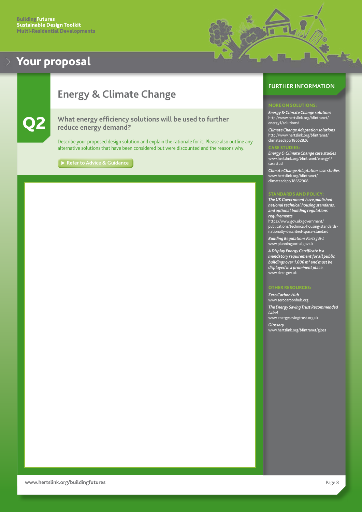

# <span id="page-8-0"></span>**Energy & Climate Change**

What energy efficiency solutions will be used to further **reduce energy demand?**

Describe your proposed design solution and explain the rationale for it. Please also outline any alternative solutions that have been considered but were discounted and the reasons why.

**[Refer to Advice & Guidance](#page-27-0)**

## **FURTHER INFORMATION**

### MORE ON SOLUTIONS:

*Energy & Climate Change solutions* [http://www.hertslink.org/bfintranet/](http://www.hertslink.org/bfintranet/energy1/solutions/) [energy1/solutions/](http://www.hertslink.org/bfintranet/energy1/solutions/)

*Climate Change Adaptation solutions* [http://www.hertslink.org/bfintranet/](http://www.hertslink.org/bfintranet/climateadapt/18652826/) [climateadapt/18652826](http://www.hertslink.org/bfintranet/climateadapt/18652826/)

### CASE STUDIES:

*Energy & Climate Change case studies* [www.hertslink.org/bfintranet/energy1/](http://www.hertslink.org/bfintranet/energy1/casestud) [casestud](http://www.hertslink.org/bfintranet/energy1/casestud)

*Climate Change Adaptation case studies* [www.hertslink.org/bfintranet/](http://www.hertslink.org/bfintranet/climateadapt/18652908) [climateadapt/18652908](http://www.hertslink.org/bfintranet/climateadapt/18652908)

### STANDARDS AND POLICY:

*The UK Government have published national technical housing standards, and optional building regulations requirements*

[https://www.gov.uk/government/](https://www.gov.uk/government/publications/technical-housing-standards-nationally-described-space-standard) [publications/technical-housing-standards](https://www.gov.uk/government/publications/technical-housing-standards-nationally-described-space-standard)[nationally-described-space-standard](https://www.gov.uk/government/publications/technical-housing-standards-nationally-described-space-standard)

*Building Regulations Parts J & L* [www.planningportal.gov.uk](http://www.planningportal.gov.uk)

*A Display Energy Certificate is a mandatory requirement for all public buildings over 1,000 m² and must be displayed in a prominent place.* [www.decc.gov.uk](http://www.decc.gov.uk)

*Zero Carbon Hub* [www.zerocarbonhub.org](http://www.zerocarbonhub.org) *The Energy Saving Trust Recommended Label* [www.energysavingtrust.org.uk](http://www.energysavingtrust.org.uk) *Glossary* [www.hertslink.org/bfintranet/gloss](http://www.hertslink.org/bfintranet/gloss)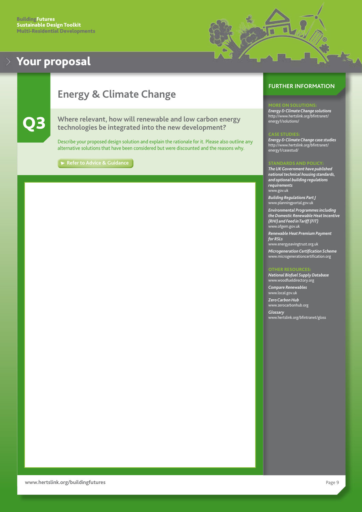

# <span id="page-9-0"></span>**Energy & Climate Change**



### Q3 **Where relevant, how will renewable and low carbon energy technologies be integrated into the new development?**

Describe your proposed design solution and explain the rationale for it. Please also outline any alternative solutions that have been considered but were discounted and the reasons why.

**[Refer to Advice & Guidance](#page-27-0)**

### **FURTHER INFORMATION**

### **ORE ON SOLUTIONS**

*Energy & Climate Change solutions* [http://www.hertslink.org/bfintranet/](http://www.hertslink.org/bfintranet/energy1/solutions/) [energy1/solutions/](http://www.hertslink.org/bfintranet/energy1/solutions/)

### CASE STUDIES:

*Energy & Climate Change case studies* [http://www.hertslink.org/bfintranet/](http://www.hertslink.org/bfintranet/energy1/casestud/) [energy1/casestud/](http://www.hertslink.org/bfintranet/energy1/casestud/)

### STANDARDS AND POLICY:

*The UK Government have published national technical housing standards, and optional building regulations requirements* [www.gov.uk](http://www.gov.uk)

*Building Regulations Part J* [www.planningportal.gov.uk](http://www.planningportal.gov.uk)

*Environmental Programmes including the Domestic Renewable Heat Incentive (RHI) and Feed in Tariff (FIT)* [www.ofgem.gov.uk](http://www.ofgem.gov.uk)

*Renewable Heat Premium Payment for RSLs* [www.energysavingtrust.org.uk](http://www.energysavingtrust.org.uk)

*Microgeneration Certification Scheme* [www.microgenerationcertification.org](http://www.microgenerationcertification.org)

### OTHER RESOURCES:

*National Biofuel Supply Database* [www.woodfueldirectory.org](http://www.woodfueldirectory.org/)

*Compare Renewables* [www.local.gov.uk](http://www.local.gov.uk/)

*Zero Carbon Hub* [www.zerocarbonhub.org](http://www.zerocarbonhub.org)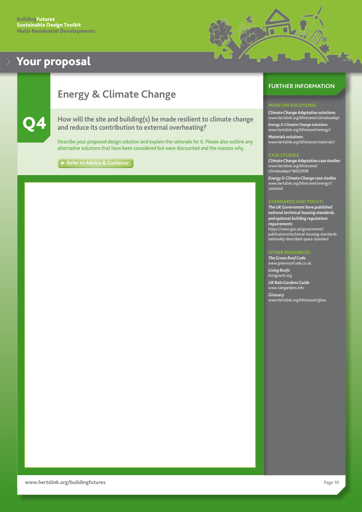

# <span id="page-10-0"></span>**Energy & Climate Change**



How will the site and building(s) be made resilient to climate change **and reduce its contribution to external overheating?**

Describe your proposed design solution and explain the rationale for it. Please also outline any alternative solutions that have been considered but were discounted and the reasons why.

**[Refer to Advice & Guidance](#page-28-0)** 

## **FURTHER INFORMATION**

*Climate Change Adaptation solutions:* [www.hertslink.org/bfintranet/climateadapt](http://www.hertslink.org/bfintranet/climateadapt/18652826/) *Energy & Climate Change solutions:* [www.hertslink.org/bfintranet/energy1](http://www.hertslink.org/bfintranet/energy1/solutions/) *Materials solutions:* [www.hertslink.org/bfintranet/materials1](http://www.hertslink.org/bfintranet/materials1/solutions/)

*Climate Change Adaptation case studies:* [www.hertslink.org/bfintranet/](http://www.hertslink.org/bfintranet/climateadapt/18652908) [climateadapt/18652908](http://www.hertslink.org/bfintranet/climateadapt/18652908)

*Energy & Climate Change case studies* [www.hertslink.org/bfintranet/energy1/](http://www.hertslink.org/bfintranet/energy1/casestud) [casestud](http://www.hertslink.org/bfintranet/energy1/casestud)

### STANDARDS AND POLICY:

*The UK Government have published national technical housing standards, and optional building regulations requirements* [https://www.gov.uk/government/](https://www.gov.uk/government/publications/technical-housing-standards-nationally-described-space-standard) [publications/technical-housing-standards](https://www.gov.uk/government/publications/technical-housing-standards-nationally-described-space-standard)[nationally-described-space-standard](https://www.gov.uk/government/publications/technical-housing-standards-nationally-described-space-standard)

### OTHER RESOURCES:

*The Green Roof Code* [www.greenroofcode.co.uk](http://www.greenroofcode.co.uk) *Living Roofs* [livingroofs.org](http://livingroofs.org)

*UK Rain Gardens Guide* [www.raingardens.info](http://www.raingardens.info)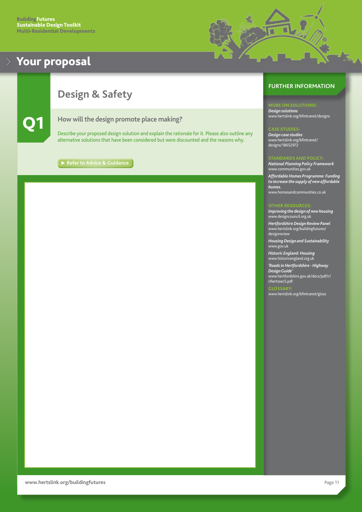

# <span id="page-11-0"></span>**Design & Safety**



Q1 **How will the design promote place making?**

Describe your proposed design solution and explain the rationale for it. Please also outline any alternative solutions that have been considered but were discounted and the reasons why.

**[Refer to Advice & Guidance](#page-29-0)**

### **FURTHER INFORMATION**

*Design solutions* [www.hertslink.org/bfintranet/designs](http://www.hertslink.org/bfintranet/designs/)

### CASE STUDIES:

*Design case studies* [www.hertslink.org/bfintranet/](http://www.hertslink.org/bfintranet/designs/18652972) [designs/18652972](http://www.hertslink.org/bfintranet/designs/18652972)

### STANDARDS AND POLICY:

*National Planning Policy Framework* [www.communities.gov.uk](http://www.communities.gov.uk/) *Affordable Homes Programme: Funding to increase the supply of new affordable homes.*

[www.homesandcommunities.co.uk](http://www.homesandcommunities.co.uk)

### OTHER RESOURCES:

*Improving the design of new housing* [www.designcouncil.org.uk](http://www.designcouncil.org.uk)

*Hertfordshire Design Review Panel* [www.hertslink.org/buildingfutures/](http://www.hertslink.org/buildingfutures/designreview) [designr](http://www.hertslink.org/buildingfutures/designreview)eview

*Housing Design and Sustainability* [www.gov.uk](http://www.gov.uk)

*Historic England: Housing* [www.h](http://www.english-heritage.org.uk)istoricengland.org.uk

*'Roads in Hertfordshire - Highway Design Guide'* [www.hertfordshire.gov.uk/docs/pdf/r/](http://www.hertfordshire.gov.uk/docs/pdf/r/rihertssec5.pdf) [rihertssec5.pdf](http://www.hertfordshire.gov.uk/docs/pdf/r/rihertssec5.pdf)

[www.hertslink.org/bfintranet/gloss](http://www.hertslink.org/bfintranet/gloss)

GLOSSARY: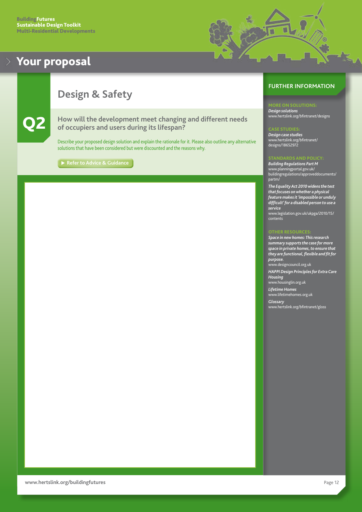

# <span id="page-12-0"></span>**Design & Safety**



Q2 **How will the development meet changing and different needs of occupiers and users during its lifespan?**

Describe your proposed design solution and explain the rationale for it. Please also outline any alternative solutions that have been considered but were discounted and the reasons why.

**[Refer to Advice & Guidance](#page-29-0)** 

## **FURTHER INFORMATION**

*Design solutions* [www.hertslink.org/bfintranet/designs](http://www.hertslink.org/bfintranet/designs/)

### CASE STUDIES:

*Design case studies* [www.hertslink.org/bfintranet/](http://www.hertslink.org/bfintranet/designs/18652972) [designs/18652972](http://www.hertslink.org/bfintranet/designs/18652972)

### STANDARDS AND POLICY:

*Building Regulations Part M* [www.planningportal.gov.uk/](http://www.planningportal.gov.uk/buildingregulations/approveddocuments/partm/) [buildingregulations/approveddocuments/](http://www.planningportal.gov.uk/buildingregulations/approveddocuments/partm/) [partm/](http://www.planningportal.gov.uk/buildingregulations/approveddocuments/partm/)

*The Equality Act 2010 widens the test that focuses on whether a physical feature makes it 'impossible or unduly difficult' for a disabled person to use a service* [www.legislation.gov.uk/ukpga/2010/15/](http://www.legislation.gov.uk/ukpga/2010/15/contents)

[contents](http://www.legislation.gov.uk/ukpga/2010/15/contents)

### OTHER RESOURCES:

*Space in new homes: This research summary supports the case for more space in private homes, to ensure that they are functional, flexible and fit for purpose.* [www.designcouncil.org.uk](http://www.designcouncil.org.uk) *HAPPI Design Principles for Extra Care Housing*

[www.housinglin.org.uk](http://www.housinglin.org.uk)

*Lifetime Homes* [www.lifetimehomes.org.uk](http://www.lifetimehomes.org.uk)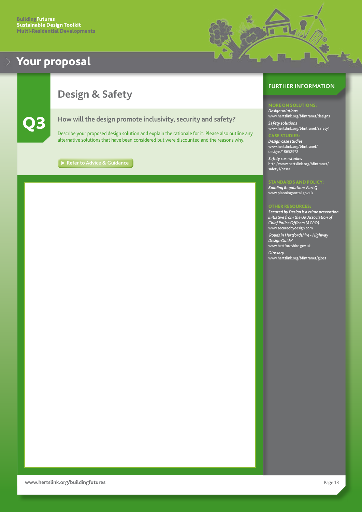<span id="page-13-0"></span>

# **Design & Safety**



Q3 **How will the design promote inclusivity, security and safety?**

Describe your proposed design solution and explain the rationale for it. Please also outline any alternative solutions that have been considered but were discounted and the reasons why.

**[Refer to Advice & Guidance](#page-30-0)**

## **FURTHER INFORMATION**

۳

*Design solutions* [www.hertslink.org/bfintranet/designs](http://www.hertslink.org/bfintranet/designs/) *Safety solutions*

[www.hertslink.org/bfintranet/s](http://www.hertslink.org/bfintranet/safety1/)afety1 CASE STUDIES:

*Design case studies* [www.hertslink.org/bfintranet/](http://www.hertslink.org/bfintranet/designs/18652972) [designs/18652972](http://www.hertslink.org/bfintranet/designs/18652972)

*Safety case studies* [http://www.hertslink.org/bfintranet/](http://www.hertslink.org/bfintranet/safety1/case/) [safety1/case/](http://www.hertslink.org/bfintranet/safety1/case/)

### STANDARDS AND POLICY: *Building Regulations Part Q* [www.planningportal.gov.uk](http://www.planningportal.gov.uk)

### OTHER RESOURCES:

*Secured by Design is a crime prevention initiative from the UK Association of Chief Police Officers (ACPO).* [www.securedbydesign.com](http://www.securedbydesign.com)

*'Roads in Hertfordshire - Highway Design Guide'*

[www.hertfordshire.go](http://www.hertsdirect.org)v.uk *Glossary* [www.hertslink.org/bfintranet/gloss](http://www.hertslink.org/bfintranet/gloss)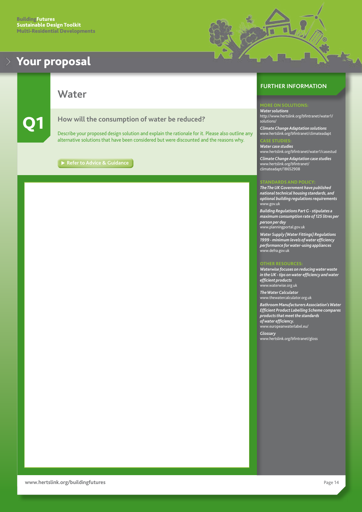<span id="page-14-0"></span>

**Water**

### Q1 **How will the consumption of water be reduced?**

Describe your proposed design solution and explain the rationale for it. Please also outline any alternative solutions that have been considered but were discounted and the reasons why.

**[Refer to Advice & Guidance](#page-31-0)**

## **FURTHER INFORMATION**

۳

*Water solutions* [http://www.hertslink.org/bfintranet/water1/](http://www.hertslink.org/bfintranet/water1/solutions/) [solutions/](http://www.hertslink.org/bfintranet/water1/solutions/)

*Climate Change Adaptation solutions* [www.hertslink.org/bfintranet/climateadapt](http://www.hertslink.org/bfintranet/climateadapt/18652826/)

### CASE STUDIES:

*Water case studies* [www.hertslink.org/bfintranet/water1/casestud](http://www.hertslink.org/bfintranet/water1/casestud/) *Climate Change Adaptation case studies* [www.hertslink.org/bfintranet/](http://www.hertslink.org/bfintranet/climateadapt/18652908) [climateadapt/18652908](http://www.hertslink.org/bfintranet/climateadapt/18652908)

### STANDARDS AND POLICY:

*The The UK Government have published national technical housing standards, and optional building regulations requirements* [www.gov.uk](http://www.planningportal.gov.uk)

*Building Regulations Part G - stipulates a maximum consumption rate of 125 litres per person per day*

[www.planningportal.gov.uk](http://www.planningportal.gov.uk)

*Water Supply (Water Fittings) Regulations 1999 - minimum levels of water efficiency performance for water-using appliances* [www.defra.gov.uk](http://www.defra.gov.uk)

### OTHER RESOURCES:

*Waterwise focuses on reducing water waste in the UK - tips on water efficiency and water efficient products* [www.waterwise.org.uk](http://www.waterwise.org.uk/)

*The Water Calculator* [www.thewatercalculator.org.uk](http://www.thewatercalculator.org.uk)

*Bathroom Manufacturers Association's Water Efficient Product Labelling Scheme compares products that meet the standards of water efficiency.* [www.europeanwaterlabel.eu/](http://www.europeanwaterlabel.eu/)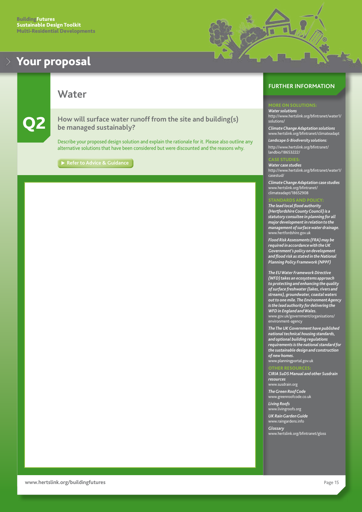<span id="page-15-0"></span>



## **Water**

Q2 **How will surface water runoff from the site and building(s) be managed sustainably?**

Describe your proposed design solution and explain the rationale for it. Please also outline any alternative solutions that have been considered but were discounted and the reasons why.

**[Refer to Advice & Guidance](#page-32-0)**

### **FURTHER INFORMATION**

*Water solutions* [http://www.hertslink.org/bfintranet/water1/](http://www.hertslink.org/bfintranet/water1/solutions/) [solutions/](http://www.hertslink.org/bfintranet/water1/solutions/)

*Climate Change Adaptation solutions* [www.hertslink.org/bfintranet/climateadapt](http://www.hertslink.org/bfintranet/climateadapt/18652826/) *Landscape & Biodiversity solutions:*

[http://www.hertslink.org/bfintranet/](http://www.hertslink.org/bfintranet/landbio/18653222/) [landbio/18653222/](http://www.hertslink.org/bfintranet/landbio/18653222/)

### CASE STUDIES:

*Water case studies* [http://www.hertslink.org/bfintranet/water1/](http://www.hertslink.org/bfintranet/water1/casestud/) [casestud/](http://www.hertslink.org/bfintranet/water1/casestud/)

*Climate Change Adaptation case studies* [www.hertslink.org/bfintranet/](http://www.hertslink.org/bfintranet/climateadapt/18652908) [climateadapt/18652908](http://www.hertslink.org/bfintranet/climateadapt/18652908)

### STANDARDS AND POLICY:

*The lead local flood authority (Hertfordshire County Council) is a statutory consultee in planning for all major development in relation to the management of surface water drainage.* [www.hertfordshire.gov.uk](http://www.hertsdirect.org)

*Flood Risk Assessments (FRA) may be required in accordance with the UK Government's policy on development and flood risk as stated in the National Planning Policy Framework (NPPF)*

*The EU Water Framework Directive (WFD) takes an ecosystems approach to protecting and enhancing the quality of surface freshwater (lakes, rivers and streams), groundwater, coastal waters out to one mile. The Environment Agency is the lead authority for delivering the WFD in England and Wales.* [www.g](http://www.gov.uk/government/organisations/environment-agency)ov.uk/government/organisations/ environment-agency

*The The UK Government have published national technical housing standards, and optional building regulations requirements is the national standard for the sustainable design and construction of new homes.*

[www.planningportal.gov.uk](http://www.planningportal.gov.uk)

### OTHER RESOURCES:

*CIRIA SuDS Manual and other Susdrain resources*

[www.susdrain.org](http://www.susdrain.org)

*The Green Roof Code* [www.greenroofcode.co.uk](http://www.greenroofcode.co.uk)

*Living Roofs* www.[livingroofs.org](http://livingroofs.org)

*UK Rain Garden Guide* [www.raingardens.info](http://www.raingardens.info)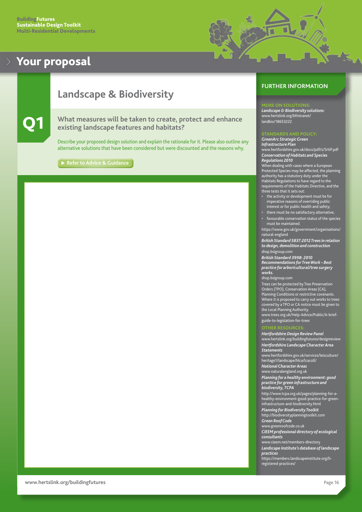

# <span id="page-16-0"></span>**Landscape & Biodiversity**

### Q1 **What measures will be taken to create, protect and enhance existing landscape features and habitats?**

Describe your proposed design solution and explain the rationale for it. Please also outline any alternative solutions that have been considered but were discounted and the reasons why.

**[Refer to Advice & Guidance](#page-33-0)**

### **FURTHER INFORMATION**

### ORE ON SOLUTION

*Landscape & Biodiversity solutions:* [www.hertslink.org/bfintranet/](http://www.hertslink.org/bfintranet/landbio/18653222/) [landbio/](http://www.hertslink.org/bfintranet/landbio/18653222/)18653222

### STANDARDS AND POLICY:

*GreenArc Strategic Green Infrastructure Plan* [www.hertfordshire.gov.uk/docs/pdf/s/SHiP.pdf](http://www.hertsdirect.org/docs/pdf/s/SHiP.pdf)

*Conservation of Habitats and Species Regulations 2010*

When dealing with cases where a European Protected Species may be affected, the planning authority has a statutory duty under the Habitats Regulations to have regard to the requirements of the Habitats Directive, and the three tests that it sets out:

- the activity or development must be for imperative reasons of overriding public interest or for public health and safety;
- there must be no satisfactory alternative; • favourable conservation status of the species
- must be maintained. [https://www.gov.uk/government/organisations/](https://www.gov.uk/government/organisations/natural-england)

[natural-england](https://www.gov.uk/government/organisations/natural-england)

*British Standard 5837:2012 Trees in relation to design, demolition and construction* [shop.bsigroup.com](http://shop.bsigroup.com)

*British Standard 3998: 2010* 

*Recommendations for Tree Work – Best practice for arboricultural/tree surgery works.*

[shop.bsigroup.com](http://shop.bsigroup.com)

Trees can be protected by Tree Preservation Orders (TPO), Conservation Areas (CA), Planning Conditions or restrictive covenants. Where it is proposed to carry out works to trees covered by a TPO or CA notice must be given to the Local Planning Authority. [www.trees.org.uk/Help-Advice/Public/A-brief-](http://www.trees.org.uk/Help-Advice/Public/A-brief-guide-to-legislation-for-trees)

[guide-to-legislation-for-trees](http://www.trees.org.uk/Help-Advice/Public/A-brief-guide-to-legislation-for-trees)

### OTHER RESOURCES:

*Hertfordshire Design Review Panel* [www.hertslink.org/](http://www.hertslink.org/buildingfutures/designreview
)buildingfutures/designreview *Hertfordshire Landscape Character Area Statements*

[www.hertfordshire.gov.uk/services/leisculture/](http://www.hertsdirect.org/services/leisculture/heritage1/landscape/hlca/lcacoll/) [heritage1/landscape/hlca/lcacoll/](http://www.hertsdirect.org/services/leisculture/heritage1/landscape/hlca/lcacoll/)

*National Character Areas*

[www.naturalengland.org.uk](http://www.naturalengland.org.uk)

*Planning for a healthy environment: good practice for green infrastructure and biodiversity, TCPA*

[http://www.tcpa.org.uk/pages/planning-for-a](http://www.tcpa.org.uk/pages/planning-for-a-healthy-environment-good-practice-for-green-infrastructure-and-biodiversity.html)[healthy-environment-good-practice-for-green](http://www.tcpa.org.uk/pages/planning-for-a-healthy-environment-good-practice-for-green-infrastructure-and-biodiversity.html)[infrastructure-and-biodiversity.html](http://www.tcpa.org.uk/pages/planning-for-a-healthy-environment-good-practice-for-green-infrastructure-and-biodiversity.html) *Planning for Biodiversity Toolkit*

http:/[/biodiversityplanningtoolkit.com](http://biodiversityplanningtoolkit.com/) *Green Roof Code*

[www.greenroofcode.co.uk](http://www.greenroofcode.co.uk) *CIEEM professional directory of ecological consultants*

[www.cieem.net/members-directory](http://www.cieem.net/members-directory)

*Landscape Institute's database of landscape* 

*practices* [https://members.landscapeinstitute.org/li-](https://members.landscapeinstitute.org/li-registered-practices/)

[registered-practices/](https://members.landscapeinstitute.org/li-registered-practices/)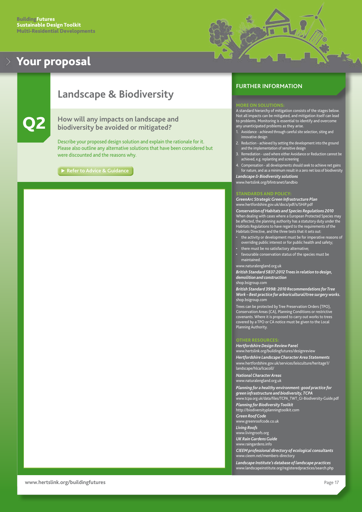

# <span id="page-17-0"></span>**Landscape & Biodiversity**

Q2 **How will any impacts on landscape and biodiversity be avoided or mitigated?**

Describe your proposed design solution and explain the rationale for it. Please also outline any alternative solutions that have been considered but were discounted and the reasons why.

**[Refer to Advice & Guidance](#page-34-0)**

### **FURTHER INFORMATION**

### MORE ON SOLUTIONS:

A standard hierarchy of mitigation consists of the stages below. Not all impacts can be mitigated, and mitigation itself can lead to problems. Monitoring is essential to identify and overcome any unanticipated problems as they arise.

- 1. Avoidance achieved through careful site selection, siting and innovative design
- 2. Reduction achieved by setting the development into the ground and the implementation of sensitive design
- 3. Remediation used where either Avoidance or Reduction cannot be achieved, e.g. replanting and screening
- 4. Compensation all developments should seek to achieve net gains for nature, and as a minimum result in a zero net loss of biodiversity

*Landscape & Biodiversity solutions* [www.hertslink.org/bfintranet/landbio](http://www.hertslink.org/bfintranet/landbio)

### STANDARDS AND POLICY:

*GreenArc Strategic Green Infrastructure Plan* hertfordshire.gov.uk/docs/pdf/s/SHiP.pd

*Conservation of Habitats and Species Regulations 2010* When dealing with cases where a European Protected Species may be affected, the planning authority has a statutory duty under the Habitats Regulations to have regard to the requirements of the Habitats Directive, and the three tests that it sets out:

- the activity or development must be for imperative reasons of overriding public interest or for public health and safety;
- there must be no satisfactory alternative;
- favourable conservation status of the species must be

maintained.

[www.naturalengland.org.uk](http://www.naturalengland.org.uk
) *British Standard 5837:2012 Trees in relation to design,* 

*demolition and construction*

[shop.bsigroup.com](http://shop.bsigroup.com)

*British Standard 3998: 2010 Recommendations for Tree Work – Best practice for arboricultural/tree surgery works.* [shop.bsigroup.com](http://shop.bsigroup.com)

Trees can be protected by Tree Preservation Orders (TPO), Conservation Areas (CA), Planning Conditions or restrictive covenants. Where it is proposed to carry out works to trees covered by a TPO or CA notice must be given to the Local Planning Authority.

### OTHER RESOURCES:

*Hertfordshire Design Review Panel* [www.hertslink.org/](http://www.hertslink.org/buildingfutures/designreview
)buildingfutures/designreview *Hertfordshire Landscape Character Area Statements* [www.hertfordshire.gov.uk/services/leisculture/heritage1/](http://www.hertsdirect.org/services/leisculture/heritage1/landscape/hlca/lcacoll/) [landscape/hlca/lcacoll/](http://www.hertsdirect.org/services/leisculture/heritage1/landscape/hlca/lcacoll/)

*National Character Areas* [www.naturalengland.org.uk](http://www.naturalengland.org.uk)

*Planning for a healthy environment: good practice for green infrastructure and biodiversity, TCPA* [www.tcpa.org.uk/data/files/TCPA\\_TWT\\_GI-Biodiversity-Guide.pdf](http://www.tcpa.org.uk/data/files/TCPA_TWT_GI-Biodiversity-Guide.pdf
) *Planning for Biodiversity Toolkit* http:/[/biodiversityplanningtoolkit.com](http://biodiversityplanningtoolkit.com) *Green Roof Code* [www.greenroofcode.co.uk](http://www.greenroofcode.co.uk) *Living Roofs* www.[livingroofs.org](http://livingroofs.org) *UK Rain Gardens Guide* [www.raingardens.info](http://www.raingardens.info)

*CIEEM professional directory of ecological consultants* [www.cieem.net/members-directory](http://www.cieem.net/members-directory)

*Landscape Institute's database of landscape practices* [www.landscapeinstitute.org/registeredpractices/search.php](http://www.landscapeinstitute.org/registeredpractices/search.php)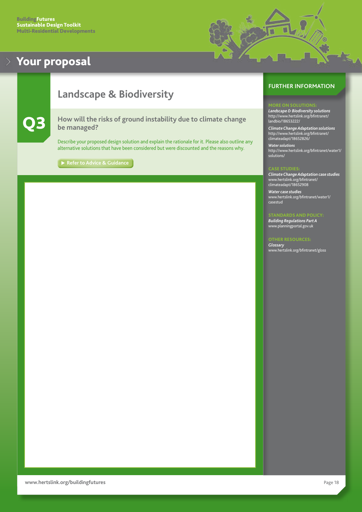

# <span id="page-18-0"></span>**Landscape & Biodiversity**

Q3 **How will the risks of ground instability due to climate change be managed?**

Describe your proposed design solution and explain the rationale for it. Please also outline any alternative solutions that have been considered but were discounted and the reasons why.

**[Refer to Advice & Guidance](#page-34-0)** 

### **FURTHER INFORMATION**

*Landscape & Biodiversity solutions* [http://www.hertslink.org/bfintranet/](http://www.hertslink.org/bfintranet/landbio/18653222/) [landbio/18653222/](http://www.hertslink.org/bfintranet/landbio/18653222/)

*Climate Change Adaptation solutions* [http://www.hertslink.org/bfintranet/](http://www.hertslink.org/bfintranet/climateadapt/18652826/) [climateadapt/18652826/](http://www.hertslink.org/bfintranet/climateadapt/18652826/)

*Water solutions* [http://www.hertslink.org/bfintranet/water1/](http://www.hertslink.org/bfintranet/water1/solutions/) [solutions/](http://www.hertslink.org/bfintranet/water1/solutions/)

*Climate Change Adaptation case studies* [www.hertslink.org/bfintranet/](http://www.hertslink.org/bfintranet/climateadapt/18652908) [climateadapt/18652908](http://www.hertslink.org/bfintranet/climateadapt/18652908)

*Water case studies* [www.hertslink.org/bfintranet/water1/](http://www.hertslink.org/bfintranet/water1/casestud) [casestud](http://www.hertslink.org/bfintranet/water1/casestud)

### STANDARDS AND POLICY:

*Building Regulations Part A* [www.planningportal.gov.uk](http://www.planningportal.gov.uk)

### OTHER RESOURCES: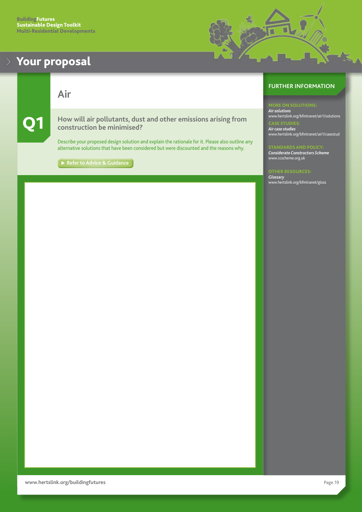<span id="page-19-0"></span>**Air**

Q1 **How will air pollutants, dust and other emissions arising from construction be minimised?** 

Describe your proposed design solution and explain the rationale for it. Please also outline any alternative solutions that have been considered but were discounted and the reasons why.

[Refer to Advice & Guidance](#page-35-0)

## **FURTHER INFORMATION**

۳

*Air solutions* [www.hertslink.org/bfintranet/air1/](http://www.hertslink.org/bfintranet/air1/solutions/)solutions CASE STUDIES: *Air case studies* [www.hertslink.org/bfintranet/air1/casestud](http://www.hertslink.org/bfintranet/air1/casestud/)

### STANDARDS AND POLICY:

*Considerate Constructors Scheme* [www.ccscheme.org.uk](http://www.ccscheme.org.uk)

OTHER RESOURCES: *Glossary* [www.hertslink.org/bfintranet/gloss](http://www.hertslink.org/bfintranet/gloss)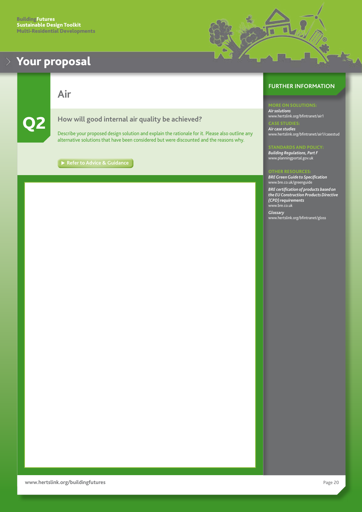<span id="page-20-0"></span>

**Air**



## Q2 **How will good internal air quality be achieved?**

Describe your proposed design solution and explain the rationale for it. Please also outline any alternative solutions that have been considered but were discounted and the reasons why.

**[Refer to Advice & Guidance](#page-35-0)** 

## **FURTHER INFORMATION**

뺉

*Air solutions* [www.hertslink.org/bfintranet/air1](http://www.hertslink.org/bfintranet/air1/solutions/) CASE STUDIES: *Air case studies* [www.hertslink.org/bfintranet/air1/casestud](http://www.hertslink.org/bfintranet/air1/casestud/)

### STANDARDS AND POLICY:

*Building Regulations, Part F* [www.planningportal.gov.uk](http://www.planningportal.gov.uk)

### OTHER RESOURCES:

*BRE Green Guide to Specification* [www.bre.co.uk/greenguide](http://www.bre.co.uk/greenguide)

*BRE certification of products based on the EU Construction Products Directive (CPD) requirements* [www.bre.co.uk](http://www.bre.co.uk)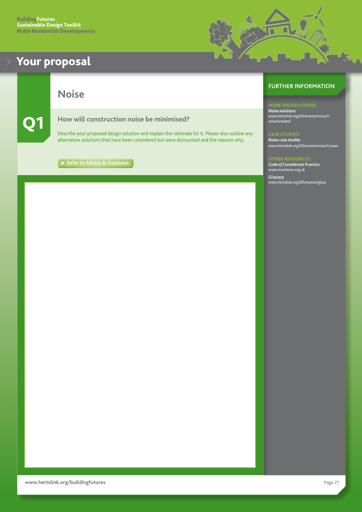

<span id="page-21-0"></span>**Noise**

### Q1 **How will construction noise be minimised?**

Describe your proposed design solution and explain the rationale for it. Please also outline any alternative solutions that have been considered but were discounted and the reasons why.

[Refer to Advice & Guidance](#page-36-0)

## **FURTHER INFORMATION**

MORE ON SOLUTIONS:

*Noise solutions* [www.hertslink.org/bfintranet/noise1/](http://www.hertslink.org/bfintranet/noise1/solutionsland/) solutionsland

CASE STUDIES: *Noise case studies* [www.hertslink.org/bfintranet/noise1/cases](http://www.hertslink.org/bfintranet/noise1/cases/)

### **OTHER RESOURC**

*Code of Considerate Practice* [www.ccscheme.org.uk](http://www.ccscheme.org.uk) *Glossary* [www.hertslink.org/bfintranet/gloss](http://www.hertslink.org/bfintranet/gloss/)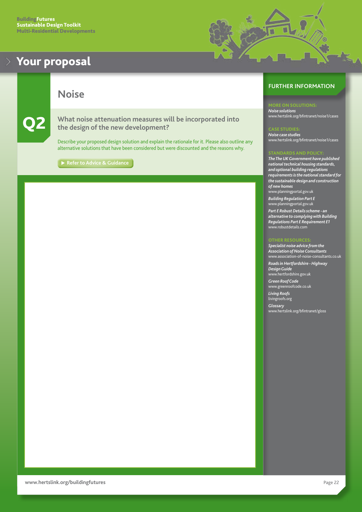<span id="page-22-0"></span>

**Noise**

Q2 **What noise attenuation measures will be incorporated into the design of the new development?**

Describe your proposed design solution and explain the rationale for it. Please also outline any alternative solutions that have been considered but were discounted and the reasons why.

**[Refer to Advice & Guidance](#page-36-0)** 

## **FURTHER INFORMATION**

*Noise solutions* [www.hertslink.org/bfintranet/noise1/](http://www.hertslink.org/bfintranet/noise1/cases/)cases

### CASE STUDIES:

۳

*Noise case studies* [www.hertslink.org/bfintranet/noise1/cases](http://www.hertslink.org/bfintranet/noise1/cases)

### STANDARDS AND POLICY:

*The The UK Government have published national technical housing standards, and optional building regulations requirements is the national standard for the sustainable design and construction of new homes* [www.planningportal.gov.uk](http://www.planningportal.gov.uk)

*Building Regulation Part E*

[www.planningportal.gov.uk](http://www.planningportal.gov.uk) *Part E Robust Details scheme - an* 

*alternative to complying with Building Regulations Part E Requirement E1* [www.robustdetails.com](http://www.robustdetails.com)

### OTHER RESOURCES:

*Specialist noise advice from the Association of Noise Consultants* [www.association-of-noise-consultants.co.uk](http://www.association-of-noise-consultants.co.uk) *Roads in Hertfordshire - Highway Design Guide* [www.hertfordshire.go](http://www.hertsdirect.org)v.uk *Green Roof Code* [www.greenroofcode.co.uk](http://www.greenroofcode.co.uk) *Living Roofs*

[livingroofs.org](http://livingroofs.org)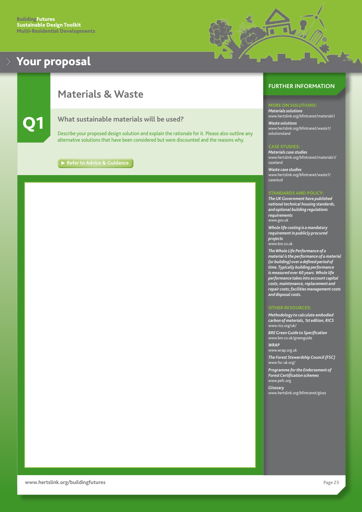

# <span id="page-23-0"></span>**Materials & Waste**



### Q1 **What sustainable materials will be used?**

Describe your proposed design solution and explain the rationale for it. Please also outline any alternative solutions that have been considered but were discounted and the reasons why.

**[Refer to Advice & Guidance](#page-37-0)**

### **FURTHER INFORMATION**

### ORE ON SOLUTIONS:

*Materials solutions* [www.hertslink.org/bfintranet/materials1](http://www.hertslink.org/bfintranet/materials1/solutions/) *Waste solutions* [www.hertslink.org/bfintranet/waste1](http://www.hertslink.org/bfintranet/waste1/solutionsland)/ solutionsland

Materials case studies *Materials case studies* [www.hertslink.org/bfintranet/materials1/](http://www.hertslink.org/bfintranet/materials1/caseland/) [caseland](http://www.hertslink.org/bfintranet/materials1/caseland/)

*Waste case studies* [www.hertslink.org/bfintranet/waste1/](http://www.hertslink.org/bfintranet/waste1/casestud/) [casestud](http://www.hertslink.org/bfintranet/waste1/casestud/)

*The UK Government have published national technical housing standards, and optional building regulations requirements* [www.gov.uk](http://www.planningportal.gov.uk)

*Whole life costing is a mandatory requirement in publicly procured projects* [www.bre.co.uk](http://www.bre.co.uk)

*The Whole Life Performance of a material is the performance of a material (or building) over a defined period of time. Typically building performance is measured over 60 years. Whole life performance takes into account capital costs; maintenance, replacement and repair costs; facilities management costs and disposal costs.*

*Methodology to calculate embodied carbon of materials, 1st edition, RICS* [www.rics.org/uk/](http://www.rics.org/uk/)

*BRE Green Guide to Specification* [www.bre.co.uk/greenguide](http://www.bre.co.uk/greenguide)

### *WRAP*

[www.wrap.org.uk](http://www.wrap.org.uk) *The Forest Stewardship Council (FSC)*

[www.fsc-uk.org/](http://www.fsc-uk.org/)

*Programme for the Endorsement of Forest Certification schemes* [www.pefc.org](http://www.pefc.org)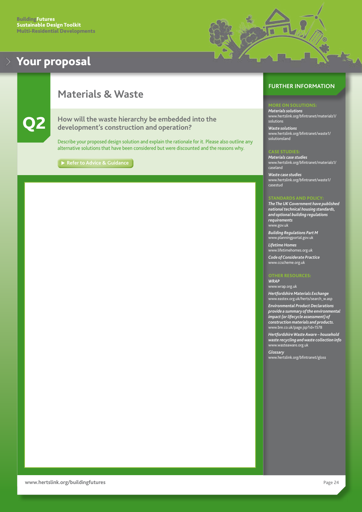

# <span id="page-24-0"></span>**Materials & Waste**



Q2 **How will the waste hierarchy be embedded into the development's construction and operation?** 

Describe your proposed design solution and explain the rationale for it. Please also outline any alternative solutions that have been considered but were discounted and the reasons why.

**[Refer to Advice & Guidance](#page-37-0)** 

### **FURTHER INFORMATION**

### ORE ON SOLUTIONS:

*Materials solutions* [www.hertslink.org/bfintranet/materials1/](http://www.hertslink.org/bfintranet/materials1/solutions/) solutions

*Waste solutions* [www.hertslink.org/bfintranet/waste1](http://www.hertslink.org/bfintranet/waste1/solutionsland)/ solutionsland

*Materials case studies* [www.hertslink.org/bfintranet/materials1/](http://www.hertslink.org/bfintranet/materials1/caseland/) [caseland](http://www.hertslink.org/bfintranet/materials1/caseland/)

*Waste case studies* [www.hertslink.org/bfintranet/waste1/](http://www.hertslink.org/bfintranet/waste1/casestud/) [casestud](http://www.hertslink.org/bfintranet/waste1/casestud/)

### STANDARDS AND POLICY:

*The The UK Government have published national technical housing standards, and optional building regulations requirements* [www.gov.uk](http://www.planningportal.gov.uk)

*Building Regulations Part M* [www.planningportal.gov.uk](http://www.planningportal.gov.uk)

*Lifetime Homes* [www.lifetimehomes.org.uk](http://www.lifetimehomes.org.uk) *Code of Considerate Practice* [www.ccscheme.org.uk](http://www.ccscheme.org.uk)

### OTHER RESOURCES:

*WRAP* [www.wrap.org.uk](http://www.wrap.org.uk)

*Hertfordshire Materials Exchange* [www.eastex.org.uk/herts/search\\_w.asp](http://www.eastex.org.uk/herts/search_w.asp)

*Environmental Product Declarations provide a summary of the environmental impact (or lifecycle assessment) of construction materials and products.* [www.bre.co.uk/page.jsp?id=1578](http://www.bre.co.uk/page.jsp?id=1578)

*Hertfordshire Waste Aware – household waste recycling and waste collection info* [www.wasteaware.org.uk](http://www.wasteaware.org.uk)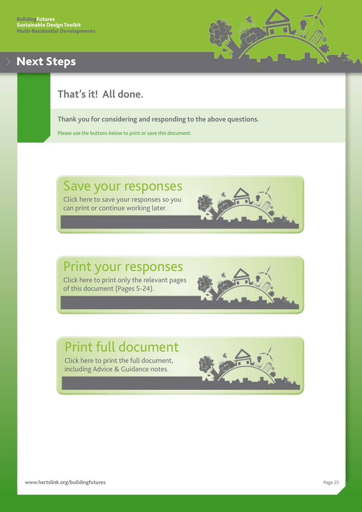# <span id="page-25-0"></span>Next Steps



# **That's it! All done.**

**Thank you for considering and responding to the above questions.**

Please use the buttons below to print or save this document.

# Save your responses

Click here to save your responses so you can print or continue working later.

# Print your responses

Click here to print only the relevant pages of this document (Pages 5-24).

# Print full document

Click here to print the full document, including Advice & Guidance notes.

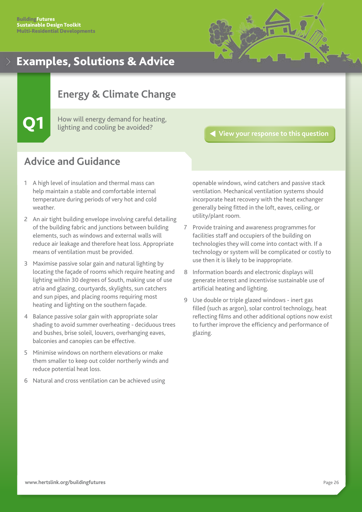

# <span id="page-26-0"></span>**Energy & Climate Change**

How will energy demand for heating, lighting and cooling be avoided?

### **[View your response to this question](#page-7-0)**

# **Advice and Guidance**

- 1 A high level of insulation and thermal mass can help maintain a stable and comfortable internal temperature during periods of very hot and cold weather.
- 2 An air tight building envelope involving careful detailing of the building fabric and junctions between building elements, such as windows and external walls will reduce air leakage and therefore heat loss. Appropriate means of ventilation must be provided.
- 3 Maximise passive solar gain and natural lighting by locating the façade of rooms which require heating and lighting within 30 degrees of South, making use of use atria and glazing, courtyards, skylights, sun catchers and sun pipes, and placing rooms requiring most heating and lighting on the southern façade.
- 4 Balance passive solar gain with appropriate solar shading to avoid summer overheating - deciduous trees and bushes, brise soleil, louvers, overhanging eaves, balconies and canopies can be effective.
- 5 Minimise windows on northern elevations or make them smaller to keep out colder northerly winds and reduce potential heat loss.
- 6 Natural and cross ventilation can be achieved using

openable windows, wind catchers and passive stack ventilation. Mechanical ventilation systems should incorporate heat recovery with the heat exchanger generally being fitted in the loft, eaves, ceiling, or utility/plant room.

- 7 Provide training and awareness programmes for facilities staff and occupiers of the building on technologies they will come into contact with. If a technology or system will be complicated or costly to use then it is likely to be inappropriate.
- 8 Information boards and electronic displays will generate interest and incentivise sustainable use of artificial heating and lighting.
- 9 Use double or triple glazed windows inert gas filled (such as argon), solar control technology, heat reflecting films and other additional options now exist to further improve the efficiency and performance of glazing.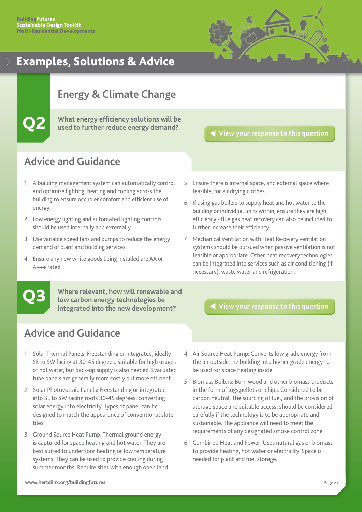

# <span id="page-27-0"></span>**Energy & Climate Change**

Q2 **What energy efficiency solutions will be used to further reduce energy demand?**

**[View your response to this question](#page-8-0)**

# **Advice and Guidance**

- 1 A building management system can automatically control and optimise lighting, heating and cooling across the building to ensure occupier comfort and efficient use of energy.
- 2 Low energy lighting and automated lighting controls should be used internally and externally.
- 3 Use variable speed fans and pumps to reduce the energy demand of plant and building services.
- 4 Ensure any new white goods being installed are AA or A+++ rated.
- 5 Ensure there is internal space, and external space where feasible, for air drying clothes.
- 6 If using gas boilers to supply heat and hot water to the building or individual units within, ensure they are high efficiency - flue gas heat recovery can also be included to further increase their efficiency.
- 7 Mechanical Ventilation with Heat Recovery ventilation systems should be pursued when passive ventilation is not feasible or appropriate. Other heat recovery technologies can be integrated into services such as air conditioning (if necessary), waste water and refrigeration.

**Where relevant, how will renewable and low carbon energy technologies be integrated into the new development?**

Q3 **[View your response to this question](#page-9-0)**

- 1 Solar Thermal Panels: Freestanding or integrated, ideally SE to SW facing at 30-45 degrees. Suitable for high usages of hot water, but back-up supply is also needed. Evacuated tube panels are generally more costly but more efficient.
- 2 Solar Photovoltaic Panels: Freestanding or integrated into SE to SW facing roofs 30-45 degrees, converting solar energy into electricity. Types of panel can be designed to match the appearance of conventional slate tiles.
- 3 Ground Source Heat Pump: Thermal ground energy is captured for space heating and hot water. They are best suited to underfloor heating or low temperature systems. They can be used to provide cooling during summer months. Require sites with enough open land.
- 4 Air Source Heat Pump: Converts low grade energy from the air outside the building into higher grade energy to be used for space heating inside.
- 5 Biomass Boilers: Burn wood and other biomass products in the form of logs,pellets or chips. Considered to be carbon neutral. The sourcing of fuel, and the provision of storage space and suitable access, should be considered carefully if the technology is to be appropriate and sustainable. The appliance will need to meet the requirements of any designated smoke control zone.
- 6 Combined Heat and Power: Uses natural gas or biomass to provide heating, hot water or electricity. Space is needed for plant and fuel storage.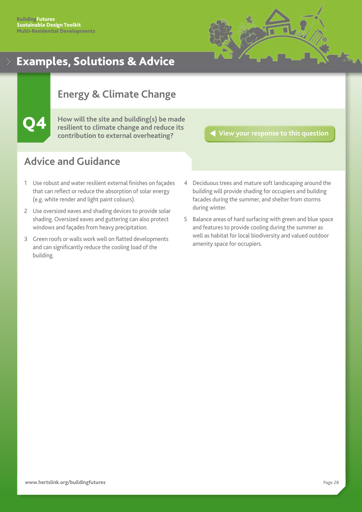

# <span id="page-28-0"></span>**Energy & Climate Change**

Q4 **How will the site and building(s) be made resilient to climate change and reduce its contribution to external overheating?**

**[View your response to this question](#page-10-0)**

- 1 Use robust and water resilient external finishes on façades that can reflect or reduce the absorption of solar energy (e.g. white render and light paint colours).
- 2 Use oversized eaves and shading devices to provide solar shading. Oversized eaves and guttering can also protect windows and façades from heavy precipitation.
- 3 Green roofs or walls work well on flatted developments and can significantly reduce the cooling load of the building.
- 4 Deciduous trees and mature soft landscaping around the building will provide shading for occupiers and building facades during the summer, and shelter from storms during winter.
- 5 Balance areas of hard surfacing with green and blue space and features to provide cooling during the summer as well as habitat for local biodiversity and valued outdoor amenity space for occupiers.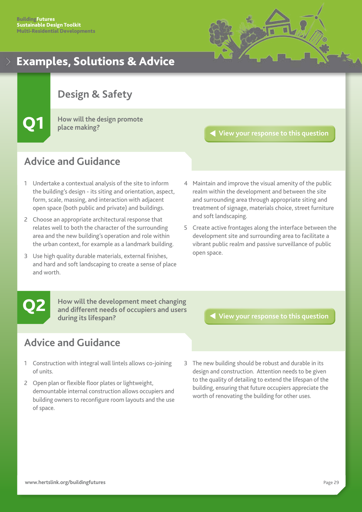

# <span id="page-29-0"></span>**Design & Safety**

Q1 **How will the design promote place making?**

# **Advice and Guidance**

- 1 Undertake a contextual analysis of the site to inform the building's design - its siting and orientation, aspect, form, scale, massing, and interaction with adjacent open space (both public and private) and buildings.
- 2 Choose an appropriate architectural response that relates well to both the character of the surrounding area and the new building's operation and role within the urban context, for example as a landmark building.
- 3 Use high quality durable materials, external finishes, and hard and soft landscaping to create a sense of place and worth.

**[View your response to this question](#page-11-0)**

- 4 Maintain and improve the visual amenity of the public realm within the development and between the site and surrounding area through appropriate siting and treatment of signage, materials choice, street furniture and soft landscaping.
- 5 Create active frontages along the interface between the development site and surrounding area to facilitate a vibrant public realm and passive surveillance of public open space.

**How will the development meet changing and different needs of occupiers and users during its lifespan? Q2** How will the development meet changing<br>and different needs of occupiers and users<br>during its lifespan?

- 1 Construction with integral wall lintels allows co-joining of units.
- 2 Open plan or flexible floor plates or lightweight, demountable internal construction allows occupiers and building owners to reconfigure room layouts and the use of space.
- 3 The new building should be robust and durable in its design and construction. Attention needs to be given to the quality of detailing to extend the lifespan of the building, ensuring that future occupiers appreciate the worth of renovating the building for other uses.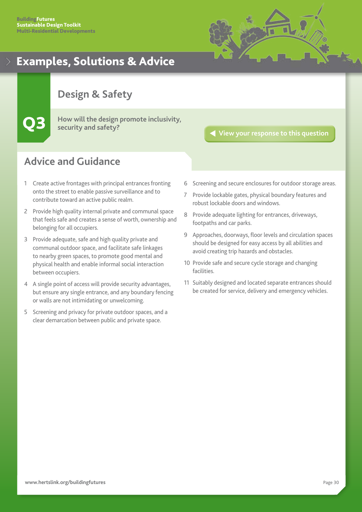

# <span id="page-30-0"></span>**Design & Safety**

Q3 **How will the design promote inclusivity, security and safety?**

# **Advice and Guidance**

- 1 Create active frontages with principal entrances fronting onto the street to enable passive surveillance and to contribute toward an active public realm.
- 2 Provide high quality internal private and communal space that feels safe and creates a sense of worth, ownership and belonging for all occupiers.
- 3 Provide adequate, safe and high quality private and communal outdoor space, and facilitate safe linkages to nearby green spaces, to promote good mental and physical health and enable informal social interaction between occupiers.
- 4 A single point of access will provide security advantages, but ensure any single entrance, and any boundary fencing or walls are not intimidating or unwelcoming.
- 5 Screening and privacy for private outdoor spaces, and a clear demarcation between public and private space.

**[View your response to this question](#page-13-0)**

- 6 Screening and secure enclosures for outdoor storage areas.
- 7 Provide lockable gates, physical boundary features and robust lockable doors and windows.
- 8 Provide adequate lighting for entrances, driveways, footpaths and car parks.
- 9 Approaches, doorways, floor levels and circulation spaces should be designed for easy access by all abilities and avoid creating trip hazards and obstacles.
- 10 Provide safe and secure cycle storage and changing facilities.
- 11 Suitably designed and located separate entrances should be created for service, delivery and emergency vehicles.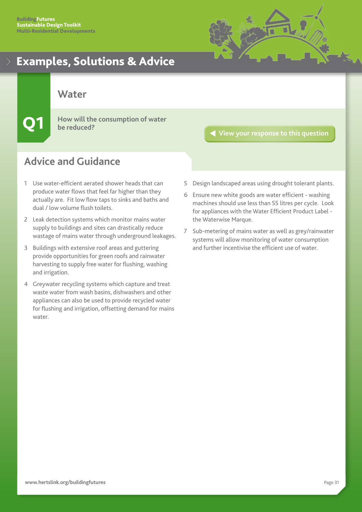

<span id="page-31-0"></span>**Water**

Q1 **How will the consumption of water be reduced?**

# **Advice and Guidance**

- 1 Use water-efficient aerated shower heads that can produce water flows that feel far higher than they actually are. Fit low flow taps to sinks and baths and dual / low volume flush toilets.
- 2 Leak detection systems which monitor mains water supply to buildings and sites can drastically reduce wastage of mains water through underground leakages.
- 3 Buildings with extensive roof areas and guttering provide opportunities for green roofs and rainwater harvesting to supply free water for flushing, washing and irrigation.
- 4 Greywater recycling systems which capture and treat waste water from wash basins, dishwashers and other appliances can also be used to provide recycled water for flushing and irrigation, offsetting demand for mains water.

**[View your response to this question](#page-14-0)**

- 5 Design landscaped areas using drought tolerant plants.
- 6 Ensure new white goods are water efficient washing machines should use less than 55 litres per cycle. Look for appliances with the Water Efficient Product Label the Waterwise Marque.
- 7 Sub-metering of mains water as well as grey/rainwater systems will allow monitoring of water consumption and further incentivise the efficient use of water.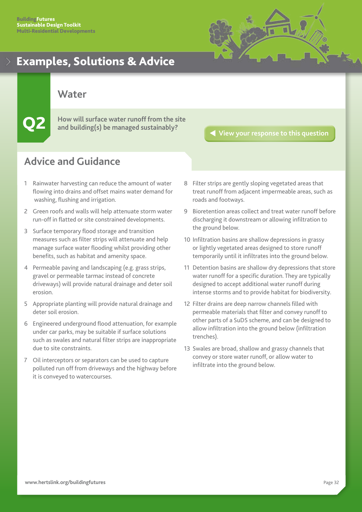

<span id="page-32-0"></span>**Water**

**Q2** How will surface water runoff from the site and building(s) be managed sustainably?

**[View your response to this question](#page-15-0)**

- 1 Rainwater harvesting can reduce the amount of water flowing into drains and offset mains water demand for washing, flushing and irrigation.
- 2 Green roofs and walls will help attenuate storm water run-off in flatted or site constrained developments.
- 3 Surface temporary flood storage and transition measures such as filter strips will attenuate and help manage surface water flooding whilst providing other benefits, such as habitat and amenity space.
- 4 Permeable paving and landscaping (e.g. grass strips, gravel or permeable tarmac instead of concrete driveways) will provide natural drainage and deter soil erosion.
- 5 Appropriate planting will provide natural drainage and deter soil erosion.
- 6 Engineered underground flood attenuation, for example under car parks, may be suitable if surface solutions such as swales and natural filter strips are inappropriate due to site constraints.
- 7 Oil interceptors or separators can be used to capture polluted run off from driveways and the highway before it is conveyed to watercourses.
- 8 Filter strips are gently sloping vegetated areas that treat runoff from adjacent impermeable areas, such as roads and footways.
- 9 Bioretention areas collect and treat water runoff before discharging it downstream or allowing infiltration to the ground below.
- 10 Infiltration basins are shallow depressions in grassy or lightly vegetated areas designed to store runoff temporarily until it infiltrates into the ground below.
- 11 Detention basins are shallow dry depressions that store water runoff for a specific duration. They are typically designed to accept additional water runoff during intense storms and to provide habitat for biodiversity.
- 12 Filter drains are deep narrow channels filled with permeable materials that filter and convey runoff to other parts of a SuDS scheme, and can be designed to allow infiltration into the ground below (infiltration trenches).
- 13 Swales are broad, shallow and grassy channels that convey or store water runoff, or allow water to infiltrate into the ground below.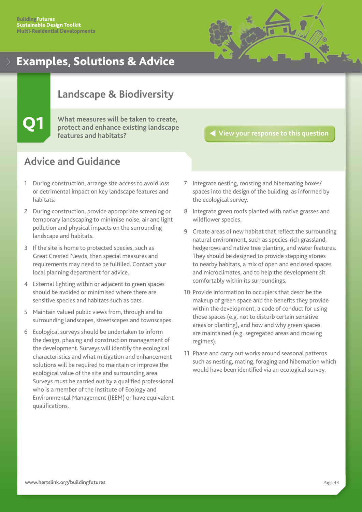

# <span id="page-33-0"></span>**Landscape & Biodiversity**

# Q1 **What measures will be taken to create, protect and enhance existing landscape features and habitats?**

**[View your response to this question](#page-16-0)**

- 1 During construction, arrange site access to avoid loss or detrimental impact on key landscape features and habitats.
- 2 During construction, provide appropriate screening or temporary landscaping to minimise noise, air and light pollution and physical impacts on the surrounding landscape and habitats.
- 3 If the site is home to protected species, such as Great Crested Newts, then special measures and requirements may need to be fulfilled. Contact your local planning department for advice.
- 4 External lighting within or adjacent to green spaces should be avoided or minimised where there are sensitive species and habitats such as bats.
- 5 Maintain valued public views from, through and to surrounding landscapes, streetscapes and townscapes.
- 6 Ecological surveys should be undertaken to inform the design, phasing and construction management of the development. Surveys will identify the ecological characteristics and what mitigation and enhancement solutions will be required to maintain or improve the ecological value of the site and surrounding area. Surveys must be carried out by a qualified professional who is a member of the Institute of Ecology and Environmental Management (IEEM) or have equivalent qualifications.
- 7 Integrate nesting, roosting and hibernating boxes/ spaces into the design of the building, as informed by the ecological survey.
- 8 Integrate green roofs planted with native grasses and wildflower species.
- 9 Create areas of new habitat that reflect the surrounding natural environment, such as species-rich grassland, hedgerows and native tree planting, and water features. They should be designed to provide stepping stones to nearby habitats, a mix of open and enclosed spaces and microclimates, and to help the development sit comfortably within its surroundings.
- 10 Provide information to occupiers that describe the makeup of green space and the benefits they provide within the development, a code of conduct for using those spaces (e.g. not to disturb certain sensitive areas or planting), and how and why green spaces are maintained (e.g. segregated areas and mowing regimes).
- 11 Phase and carry out works around seasonal patterns such as nesting, mating, foraging and hibernation which would have been identified via an ecological survey.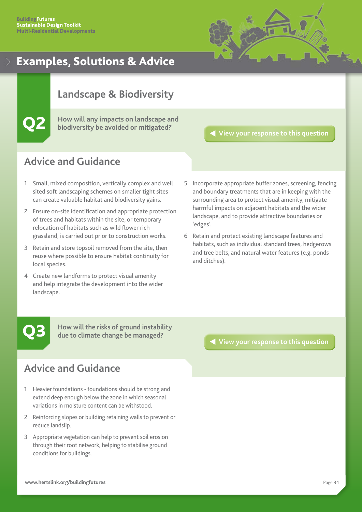

# <span id="page-34-0"></span>**Landscape & Biodiversity**

Q2 **How will any impacts on landscape and biodiversity be avoided or mitigated?**

**[View your response to this question](#page-17-0)**

# **Advice and Guidance**

- 1 Small, mixed composition, vertically complex and well sited soft landscaping schemes on smaller tight sites can create valuable habitat and biodiversity gains.
- 2 Ensure on-site identification and appropriate protection of trees and habitats within the site, or temporary relocation of habitats such as wild flower rich grassland, is carried out prior to construction works.
- 3 Retain and store topsoil removed from the site, then reuse where possible to ensure habitat continuity for local species.
- 4 Create new landforms to protect visual amenity and help integrate the development into the wider landscape.
- 5 Incorporate appropriate buffer zones, screening, fencing and boundary treatments that are in keeping with the surrounding area to protect visual amenity, mitigate harmful impacts on adjacent habitats and the wider landscape, and to provide attractive boundaries or 'edges'.
- 6 Retain and protect existing landscape features and habitats, such as individual standard trees, hedgerows and tree belts, and natural water features (e.g. ponds and ditches).

**How will the risks of ground instability due to climate change be managed?**

# **Advice and Guidance**

- 1 Heavier foundations foundations should be strong and extend deep enough below the zone in which seasonal variations in moisture content can be withstood.
- 2 Reinforcing slopes or building retaining walls to prevent or reduce landslip.
- 3 Appropriate vegetation can help to prevent soil erosion through their root network, helping to stabilise ground conditions for buildings.

Q3 **[View your response to this question](#page-18-0)**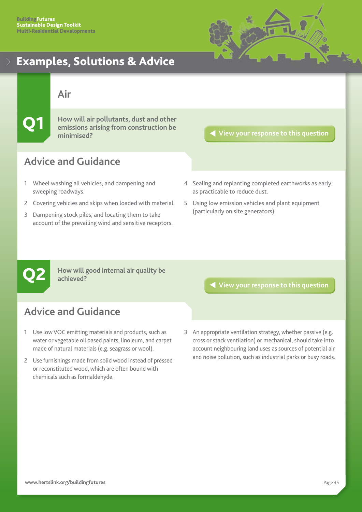

## <span id="page-35-0"></span>**Air**

Q1 **How will air pollutants, dust and other emissions arising from construction be minimised?**

## **[View your response to this question](#page-19-0)**

# **Advice and Guidance**

- 1 Wheel washing all vehicles, and dampening and sweeping roadways.
- 2 Covering vehicles and skips when loaded with material.
- 3 Dampening stock piles, and locating them to take account of the prevailing wind and sensitive receptors.
- 4 Sealing and replanting completed earthworks as early as practicable to reduce dust.
- 5 Using low emission vehicles and plant equipment (particularly on site generators).

**Q2** How will good internal air quality be achieved?<br> **Q2** achieved? **achieved?**

- 1 Use low VOC emitting materials and products, such as water or vegetable oil based paints, linoleum, and carpet made of natural materials (e.g. seagrass or wool).
- 2 Use furnishings made from solid wood instead of pressed or reconstituted wood, which are often bound with chemicals such as formaldehyde.
- 
- 3 An appropriate ventilation strategy, whether passive (e.g. cross or stack ventilation) or mechanical, should take into account neighbouring land uses as sources of potential air and noise pollution, such as industrial parks or busy roads.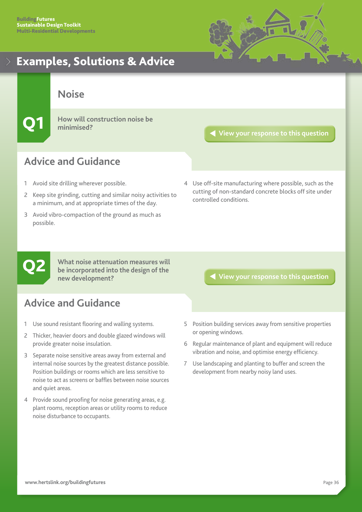

<span id="page-36-0"></span>**Noise**

Q1 **How will construction noise be minimised?**

**[View your response to this question](#page-21-0)**

# **Advice and Guidance**

- 1 Avoid site drilling wherever possible.
- 2 Keep site grinding, cutting and similar noisy activities to a minimum, and at appropriate times of the day.
- 3 Avoid vibro-compaction of the ground as much as possible.
- 4 Use off-site manufacturing where possible, such as the cutting of non-standard concrete blocks off site under controlled conditions.



**What noise attenuation measures will be incorporated into the design of the new development?**

# **Advice and Guidance**

- 1 Use sound resistant flooring and walling systems.
- 2 Thicker, heavier doors and double glazed windows will provide greater noise insulation.
- 3 Separate noise sensitive areas away from external and internal noise sources by the greatest distance possible. Position buildings or rooms which are less sensitive to noise to act as screens or baffles between noise sources and quiet areas.
- 4 Provide sound proofing for noise generating areas, e.g. plant rooms, reception areas or utility rooms to reduce noise disturbance to occupants.

## Q2 **[View your response to this question](#page-22-0)**

- 5 Position building services away from sensitive properties or opening windows.
- 6 Regular maintenance of plant and equipment will reduce vibration and noise, and optimise energy efficiency.
- 7 Use landscaping and planting to buffer and screen the development from nearby noisy land uses.